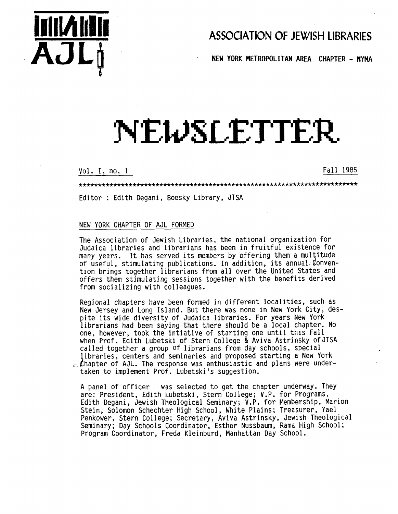

# **ASSOCIATION OF JEWISH LIBRARIES**

. **NEW YORK METROPOLITAN AREA CHAPTER** - **NYMA** 

# NEWSLETTER

Vol. I, no. 1 Fall 1985

.........................................................................

Editor : Edith Degani, Boesky Library, JTSA

# NEW YORK CHAPTER OF AJL FORMED

The Association of Jewish Libraries, the national organization for Judaica libraries and librarians has been in fruitful existence for many years. It has served its members by offering them a multitude of useful, stimulating publications. In addition, its annual  $\ell$ onvention brings together librarians from all over the United States and offers them stimulating sessions together with the benefits derived from socializing with colleagues.

Regional chapters have been formed in different localities, such as New Jersey and Long Island. But there was none in New York City, despite its wide diversity of Judaica libraries. For years New York librarians had been saying that there should be a local chapter. No one, however, took the intiative of starting one until this Fall when Prof. Edith Lubetski of Stern College & Aviva Astrinsky ofJISA called together a group of librarians from day schools, special libraries, centers and seminaries and proposed starting a New York  $_{\rm c}$  Chapter of AJL. The response was enthusiastic and plans were undertaken to implement Prof. Lubetski's suggestion.

A panel of officer was selected to get the chapter underway. They are: President, Edith Lubetski, Stern College; V.P. for Programs, Edith Degani, Jewish Theological Seminary; V.P. for Membership, Marion Stein, Solomon Schechter High School , White Plains; Treasurer, Yael Penkower, Stern College; Secretary, Aviva Astrinsky, Jewish Theological Seminary; Day Schools Coordinator, Esther Nussbaum, Rama High School ; Program Coordinator, Freda Kleinburd, Manhattan Day School.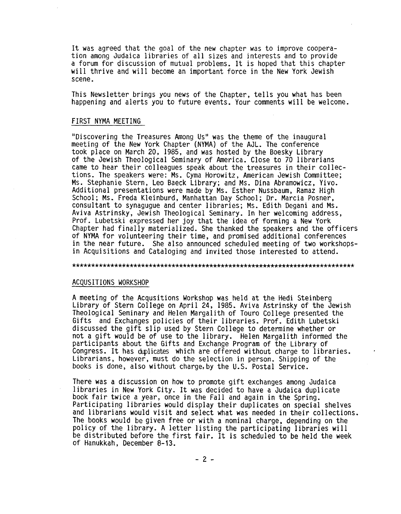It was agreed that the goal of the new chapter was to improve cooperation among Judaica libraries of all sizes and interests and to provide a forum for discussion of mutual problems. It is hoped that this chapter will thrive and will become an important force in the New York Jewish scene.

This Newsletter brings you news of the Chapter, tells you what has been happening and alerts you to future events. Your comments will be welcome.

# FIRST NYMA MEETING

"Discovering the Treasures Among Us" was the theme of the inaugural meeting of the New York Chapter (NYMA) of the AJL. The conference took place on March 20, 1985, and was hosted by the Boesky Library of the Jewish Theological Seminary of America. Close to 70 librarians came to hear their colleagues speak about the treasures in their collections. The speakers were: Ms. Cyma Horowitz, American Jewish Committee; **Ms.** Stephanie Stern, Leo Baeck Library; and **Ms.** Dina Abramowicz, Yivo. Additional presentations were made by Ms. Esther Nussbaum, Ramaz High School; **Ms.** Freda Kleinburd, Manhattan Day School; Dr. Marcia Posner, consultant to synagugue and center libraries; Ms. Edith Degani and **Ms.**  Aviva Astrinsky, Jewish Theological Seminary. In her welcoming address, Prof. Lubetski expressed her joy that the idea of forming a New York Chapter had finally materialized. She thanked the speakers and the officers of NYMA for volunteering their time, and promised additional conferences in the near future. She also announced scheduled meeting of two workshopsin Acquisitions and Cataloging and invited those interested to attend.

#### ..........................................................................

#### ACQUSITIONS WORKSHOP

A meeting of the Acqusitions Workshop was held at the Hedi Steinberg Library of Stern College on April **24,** 1985. Aviva Astrinsky of the Jewish Theological Seminary and Helen Margalith of Touro College presented the Gifts and Exchanges policies of their libraries. Prof. Edith Lubetski discussed the gift slip used by Stern College to determine whether or not a gift would be of use to the library. Helen Margalith informed the participants about the Gifts and Exchange Program of the Library of Congress. It has duplicates which are offered without charge to libraries. Librarians, however, must do the selection in person. Shipping of the books is done, also without charge,by the U.S. Postal Service.

There was a discussion on how to promote gift exchanges among Judaica libraries in New York City. It was decided to have a Judaica duplicate book fair twice a year, once in the Fall and again in the Spring. Participating libraries would display their duplicates on special shelves and librarians would visit and select what was needed in their collections. The books would be given free or with a nominal charge, depending on the policy of the library. A letter listing the participating libraries will be distributed before the first fair. It is scheduled to be held the week of Hanukkah, December 8-13.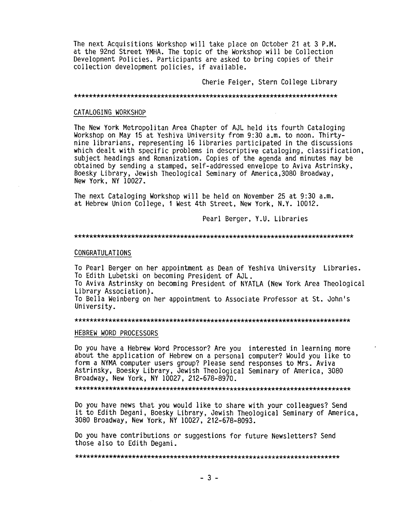The next Acquisitions Workshop will take place on October 21 at 3 P.M. at the 92nd Street YMHA. The topic of the Workshop will be Collection Development Policies. Participants are asked to bring copies of their collection development policies, if available.

Cherie Feiger, Stern College Library

#### ......................................................................

## CATALOGING WORKSHOP

The New York Metropolitan Area Chapter of AJL held its fourth Cataloging Workshop on May 15 at Yeshiva University from 9:30 a.m. to noon. Thirtynine librarians, representing 16 libraries participated in the discussions which dealt with specific problems in descriptive cataloging, classification, subject headings and Romanization. Copies of the agenda and minutes may be obtained by sending a stamped, self-addressed envelope to Aviva Astrinsky, Boesky Library, Jewish Theological Seminary of America,3080 Broadway, New York, NY 10027.

The next Cataloging Workshop will be held on November 25 at 9:30 a.m. at Hebrew Union College, **1** West 4th Street, New York, N.Y. 10012.

Pearl Berger, Y.U. Libraries

#### ..........................................................................

## CONGRATULATIONS

To Pearl Berger on her appointment as Dean of Yeshiva University Libraries. To Edith Lubetski on becoming President of AJL.

To Aviva Astrinsky on becoming President of NYATLA (New York Area Theological Library Association).

To Bella Weinberg on her appointment to Associate Professor at St. John's University.

#### .........................................................................

## HEBREW WORD PROCESSORS

Do you have a Hebrew Word Processor? Are you interested in learning more about the application of Hebrew on a personal computer? Would you like to form a NYMA computer users group? Please send responses to Mrs. Aviva Astrinsky, Boesky Library, Jewish Theological Seminary of America, 3080 Broadway, New York, NY 10027, 212-678-8970.

.........................................................................

Do you have news that you would like to share with your colleagues? Send it to Edith Degani, Boesky Library, Jewish Theological Seminary of America, 3080 Broadway, New York, NY 10027, 212-678-8093.

Do you have contributions or suggestions for future Newsletters? Send those also to Edith Degani.

......................................................................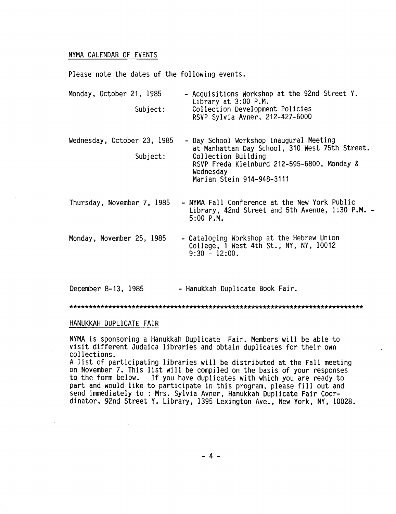# NYMA CALENDAR OF EVENTS

Please note the dates of the following events.

| Monday, October 21, 1985<br>Subject:    | - Acquisitions Workshop at the 92nd Street Y.<br>Library at 3:00 P.M.<br>Collection Development Policies<br>RSVP Sylvia Avner, 212-427-6000                                                               |
|-----------------------------------------|-----------------------------------------------------------------------------------------------------------------------------------------------------------------------------------------------------------|
| Wednesday, October 23, 1985<br>Subject: | - Day School Workshop Inaugural Meeting<br>at Manhattan Day School, 310 West 75th Street.<br>Collection Building<br>RSVP Freda Kleinburd 212-595-6800, Monday &<br>Wednesday<br>Marian Stein 914-948-3111 |
| Thursday, November 7, 1985              | - NYMA Fall Conference at the New York Public<br>Library, 42nd Street and 5th Avenue, 1:30 P.M. -<br>$5:00$ P.M.                                                                                          |
| Monday, November 25, 1985               | - Cataloging Workshop at the Hebrew Union<br>College, 1 West 4th St., NY, NY, $10012$<br>$9:30 - 12:00$ .                                                                                                 |

December 8-13, 1985 - Hanukkah Duplicate Book Fair.

............................................................................

# HANUKKAH DUPLICATE FAIR

NYMA is sponsoring a Hanukkah Duplicate Fair. Members will be able to visit different Judaica libraries and obtain duplicates for their own collections.

A list of participating libraries will be distributed at the Fall meeting on November **7.** This list will be compiled on the basis of your responses If you have duplicates with which you are ready to part and would like to participate in this program, please fill out and send immediately to : Mrs. Sylvia Avner, Hanukkah Duplicate Fair Coordinator, 92nd Street Y. Library, 1395 Lexington Ave., New York, NY, 10028.

**-4-**